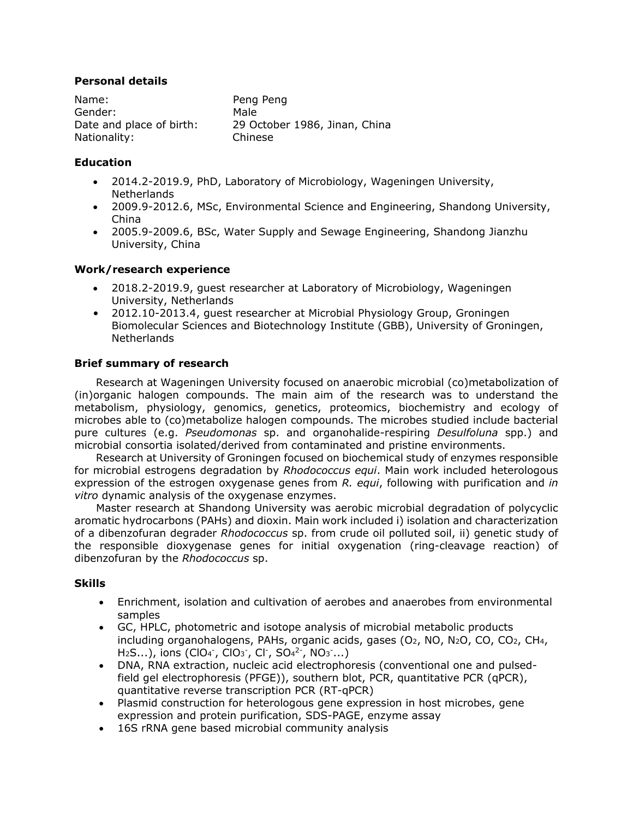# **Personal details**

| Name:                    | Peng Peng                     |
|--------------------------|-------------------------------|
| Gender:                  | Male                          |
| Date and place of birth: | 29 October 1986, Jinan, China |
| Nationality:             | Chinese                       |

# **Education**

- 2014.2-2019.9, PhD, Laboratory of Microbiology, Wageningen University, Netherlands
- 2009.9-2012.6, MSc, Environmental Science and Engineering, Shandong University, China
- 2005.9-2009.6, BSc, Water Supply and Sewage Engineering, Shandong Jianzhu University, China

## **Work/research experience**

- 2018.2-2019.9, guest researcher at Laboratory of Microbiology, Wageningen University, Netherlands
- 2012.10-2013.4, guest researcher at Microbial Physiology Group, Groningen Biomolecular Sciences and Biotechnology Institute (GBB), University of Groningen, Netherlands

# **Brief summary of research**

Research at Wageningen University focused on anaerobic microbial (co)metabolization of (in)organic halogen compounds. The main aim of the research was to understand the metabolism, physiology, genomics, genetics, proteomics, biochemistry and ecology of microbes able to (co)metabolize halogen compounds. The microbes studied include bacterial pure cultures (e.g. *Pseudomonas* sp. and organohalide-respiring *Desulfoluna* spp.) and microbial consortia isolated/derived from contaminated and pristine environments.

Research at University of Groningen focused on biochemical study of enzymes responsible for microbial estrogens degradation by *Rhodococcus equi*. Main work included heterologous expression of the estrogen oxygenase genes from *R. equi*, following with purification and *in vitro* dynamic analysis of the oxygenase enzymes.

Master research at Shandong University was aerobic microbial degradation of polycyclic aromatic hydrocarbons (PAHs) and dioxin. Main work included i) isolation and characterization of a dibenzofuran degrader *Rhodococcus* sp. from crude oil polluted soil, ii) genetic study of the responsible dioxygenase genes for initial oxygenation (ring-cleavage reaction) of dibenzofuran by the *Rhodococcus* sp.

## **Skills**

- Enrichment, isolation and cultivation of aerobes and anaerobes from environmental samples
- GC, HPLC, photometric and isotope analysis of microbial metabolic products including organohalogens, PAHs, organic acids, gases  $(O_2, NO, N_2O, CO, CO_2, CH<sub>4</sub>,$  $H_2S...$ ), ions (ClO<sub>4</sub><sup>-</sup>, ClO<sub>3</sub><sup>-</sup>, Cl<sup>-</sup>, SO<sub>4</sub><sup>2-</sup>, NO<sub>3</sub><sup>-</sup>...)
- DNA, RNA extraction, nucleic acid electrophoresis (conventional one and pulsedfield gel electrophoresis (PFGE)), southern blot, PCR, quantitative PCR (qPCR), quantitative reverse transcription PCR (RT-qPCR)
- Plasmid construction for heterologous gene expression in host microbes, gene expression and protein purification, SDS-PAGE, enzyme assay
- 16S rRNA gene based microbial community analysis